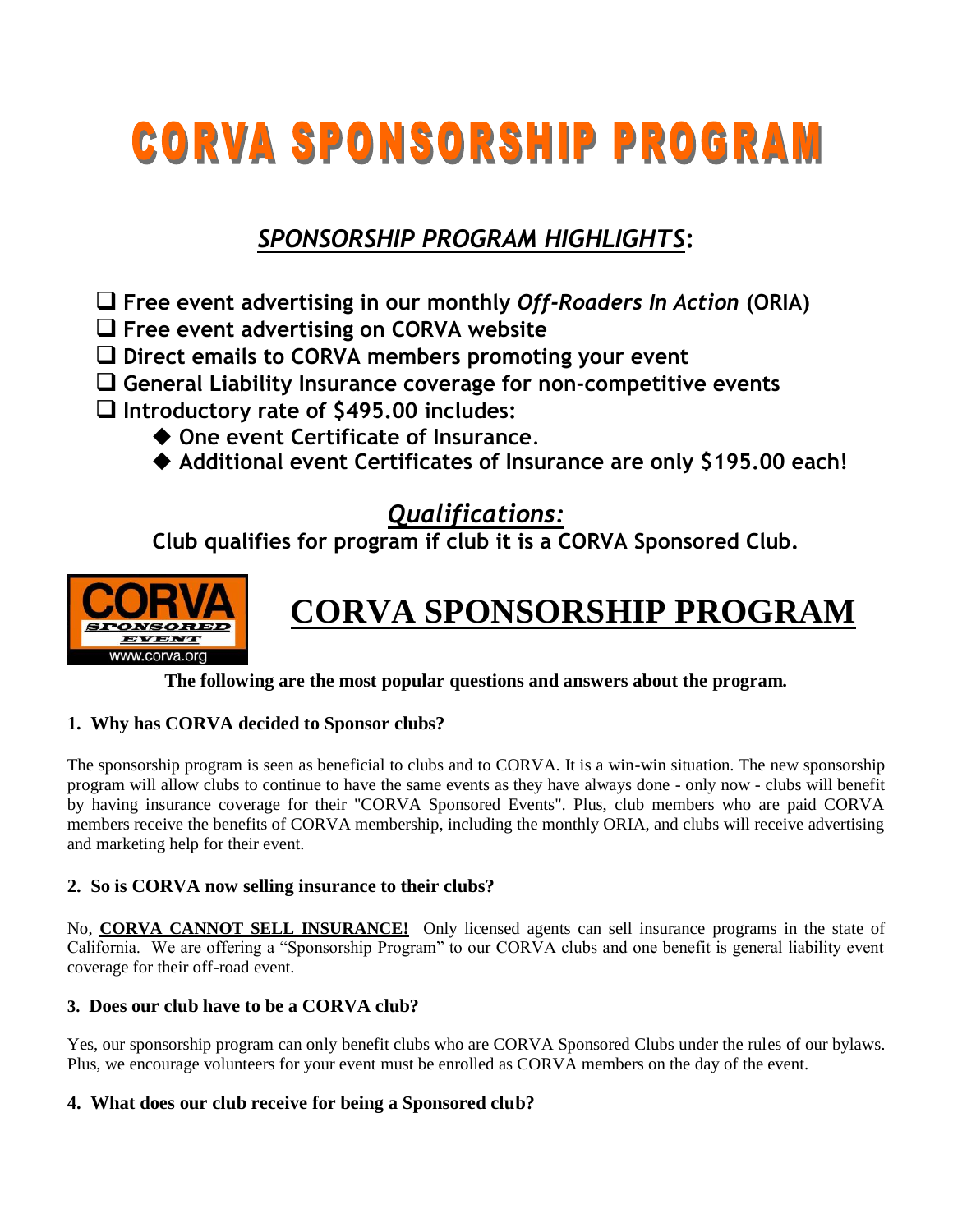# **CORVA SPONSORSHIP PROGRAM**

## *SPONSORSHIP PROGRAM HIGHLIGHTS***:**

- **Free event advertising in our monthly** *Off-Roaders In Action* **(ORIA)**
- **Free event advertising on CORVA website**
- **Direct emails to CORVA members promoting your event**
- **General Liability Insurance coverage for non-competitive events**
- **Introductory rate of \$495.00 includes:** 
	- **One event Certificate of Insurance**.
	- **Additional event Certificates of Insurance are only \$195.00 each!**

### *Qualifications:*

**Club qualifies for program if club it is a CORVA Sponsored Club.** 



# **CORVA SPONSORSHIP PROGRAM**

**The following are the most popular questions and answers about the program.** 

#### **1. Why has CORVA decided to Sponsor clubs?**

The sponsorship program is seen as beneficial to clubs and to CORVA. It is a win-win situation. The new sponsorship program will allow clubs to continue to have the same events as they have always done - only now - clubs will benefit by having insurance coverage for their "CORVA Sponsored Events". Plus, club members who are paid CORVA members receive the benefits of CORVA membership, including the monthly ORIA, and clubs will receive advertising and marketing help for their event.

#### **2. So is CORVA now selling insurance to their clubs?**

No, **CORVA CANNOT SELL INSURANCE!** Only licensed agents can sell insurance programs in the state of California. We are offering a "Sponsorship Program" to our CORVA clubs and one benefit is general liability event coverage for their off-road event.

#### **3. Does our club have to be a CORVA club?**

Yes, our sponsorship program can only benefit clubs who are CORVA Sponsored Clubs under the rules of our bylaws. Plus, we encourage volunteers for your event must be enrolled as CORVA members on the day of the event.

#### **4. What does our club receive for being a Sponsored club?**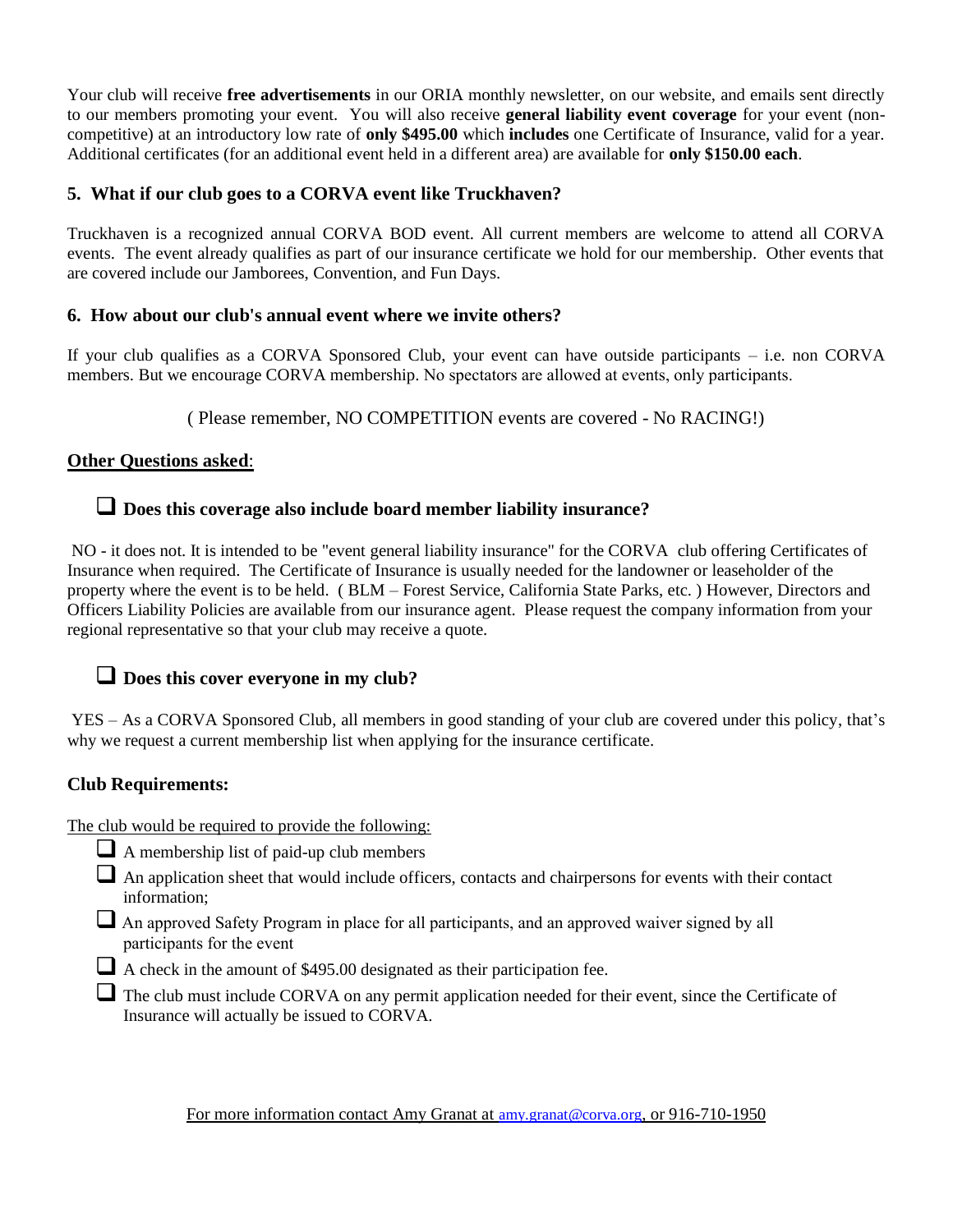Your club will receive **free advertisements** in our ORIA monthly newsletter, on our website, and emails sent directly to our members promoting your event. You will also receive **general liability event coverage** for your event (noncompetitive) at an introductory low rate of **only \$495.00** which **includes** one Certificate of Insurance, valid for a year. Additional certificates (for an additional event held in a different area) are available for **only \$150.00 each**.

#### **5. What if our club goes to a CORVA event like Truckhaven?**

Truckhaven is a recognized annual CORVA BOD event. All current members are welcome to attend all CORVA events. The event already qualifies as part of our insurance certificate we hold for our membership. Other events that are covered include our Jamborees, Convention, and Fun Days.

#### **6. How about our club's annual event where we invite others?**

If your club qualifies as a CORVA Sponsored Club, your event can have outside participants – i.e. non CORVA members. But we encourage CORVA membership. No spectators are allowed at events, only participants.

( Please remember, NO COMPETITION events are covered - No RACING!)

#### **Other Questions asked**:

#### **Does this coverage also include board member liability insurance?**

NO - it does not. It is intended to be "event general liability insurance" for the CORVA club offering Certificates of Insurance when required. The Certificate of Insurance is usually needed for the landowner or leaseholder of the property where the event is to be held. ( BLM – Forest Service, California State Parks, etc. ) However, Directors and Officers Liability Policies are available from our insurance agent. Please request the company information from your regional representative so that your club may receive a quote.

#### **Does this cover everyone in my club?**

YES – As a CORVA Sponsored Club, all members in good standing of your club are covered under this policy, that's why we request a current membership list when applying for the insurance certificate.

#### **Club Requirements:**

The club would be required to provide the following:

- $\Box$  A membership list of paid-up club members
- $\Box$  An application sheet that would include officers, contacts and chairpersons for events with their contact information;
- An approved Safety Program in place for all participants, and an approved waiver signed by all participants for the event
- A check in the amount of \$495.00 designated as their participation fee.
- The club must include CORVA on any permit application needed for their event, since the Certificate of Insurance will actually be issued to CORVA.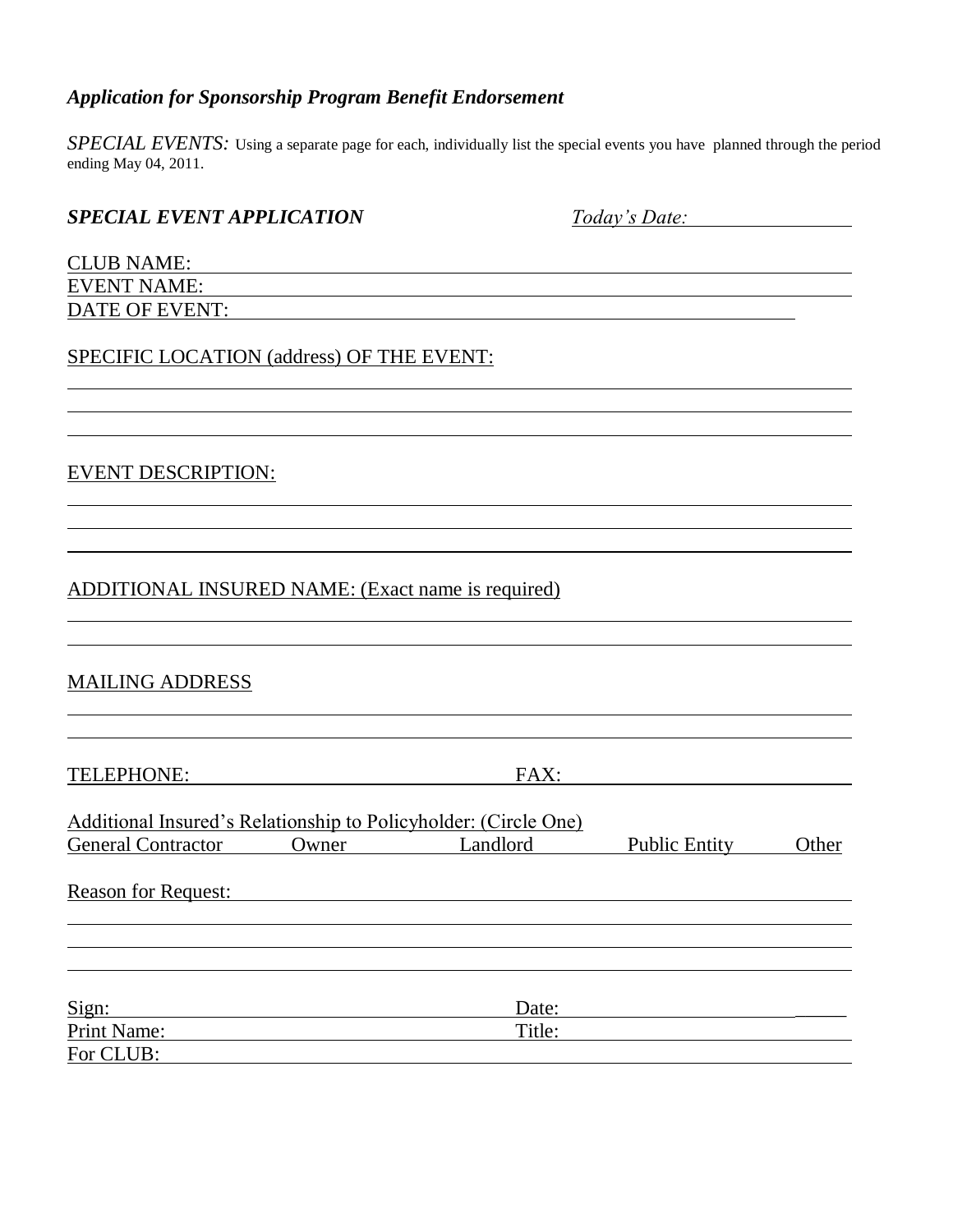#### *Application for Sponsorship Program Benefit Endorsement*

*SPECIAL EVENTS:* Using a separate page for each, individually list the special events you have planned through the period ending May 04, 2011.

| <b>SPECIAL EVENT APPLICATION</b>                  | Today's Date: |
|---------------------------------------------------|---------------|
| <b>CLUB NAME:</b>                                 |               |
| <b>EVENT NAME:</b>                                |               |
| <b>DATE OF EVENT:</b>                             |               |
| SPECIFIC LOCATION (address) OF THE EVENT:         |               |
|                                                   |               |
|                                                   |               |
| <b>EVENT DESCRIPTION:</b>                         |               |
|                                                   |               |
|                                                   |               |
| ADDITIONAL INSURED NAME: (Exact name is required) |               |

#### MAILING ADDRESS

TELEPHONE: FAX: FAX:

| Additional Insured's Relationship to Policyholder: (Circle One) |       |          |                      |       |
|-----------------------------------------------------------------|-------|----------|----------------------|-------|
| <b>General Contractor</b>                                       | Owner | Landlord | <b>Public Entity</b> | Other |
| <b>Reason for Request:</b>                                      |       |          |                      |       |
|                                                                 |       |          |                      |       |
|                                                                 |       |          |                      |       |
|                                                                 |       |          |                      |       |
| Sign:                                                           |       | Date:    |                      |       |
| Print Name:                                                     |       | Title:   |                      |       |
| For CLUB:                                                       |       |          |                      |       |